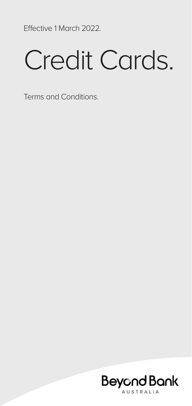Effective 1 March 2022.

# Credit Cards.

Terms and Conditions.

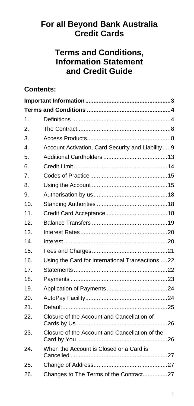## **For all Beyond Bank Australia Credit Cards**

## **Terms and Conditions, Information Statement and Credit Guide**

#### **Contents:**

| 1.              |                                                  |  |
|-----------------|--------------------------------------------------|--|
| 2.              |                                                  |  |
| 3.              |                                                  |  |
| 4.              | Account Activation, Card Security and Liability9 |  |
| 5.              |                                                  |  |
| 6.              |                                                  |  |
| 7.              |                                                  |  |
| 8.              |                                                  |  |
| 9.              |                                                  |  |
| 10 <sub>1</sub> |                                                  |  |
| 11.             |                                                  |  |
| 12.             |                                                  |  |
| 13.             |                                                  |  |
| 14.             |                                                  |  |
| 15.             |                                                  |  |
| 16.             | Using the Card for International Transactions 22 |  |
| 17 <sub>1</sub> |                                                  |  |
| 18.             |                                                  |  |
| 19.             |                                                  |  |
| 20.             |                                                  |  |
| 21.             |                                                  |  |
| 22.             | Closure of the Account and Cancellation of       |  |
| 23.             | Closure of the Account and Cancellation of the   |  |
| 24.             | When the Account is Closed or a Card is          |  |
| 25.             |                                                  |  |
| 26.             | Changes to The Terms of the Contract27           |  |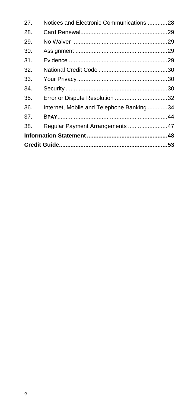| 27. | Notices and Electronic Communications 28 |  |
|-----|------------------------------------------|--|
| 28. |                                          |  |
| 29. |                                          |  |
| 30. |                                          |  |
| 31. |                                          |  |
| 32. |                                          |  |
| 33. |                                          |  |
| 34. |                                          |  |
| 35. |                                          |  |
| 36. | Internet, Mobile and Telephone Banking34 |  |
| 37. |                                          |  |
| 38. | Regular Payment Arrangements 47          |  |
|     |                                          |  |
|     |                                          |  |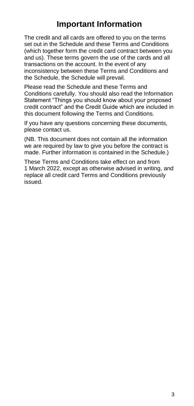## **Important Information**

The credit and all cards are offered to you on the terms set out in the Schedule and these Terms and Conditions (which together form the credit card contract between you and us). These terms govern the use of the cards and all transactions on the account. In the event of any inconsistency between these Terms and Conditions and the Schedule, the Schedule will prevail.

Please read the Schedule and these Terms and Conditions carefully. You should also read the Information Statement "Things you should know about your proposed credit contract" and the Credit Guide which are included in this document following the Terms and Conditions.

If you have any questions concerning these documents, please contact us.

(NB. This document does not contain all the information we are required by law to give you before the contract is made. Further information is contained in the Schedule.)

These Terms and Conditions take effect on and from 1 March 2022, except as otherwise advised in writing, and replace all credit card Terms and Conditions previously issued.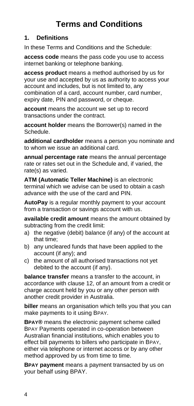## **Terms and Conditions**

#### <span id="page-4-0"></span>**1. Definitions**

In these Terms and Conditions and the Schedule:

**access code** means the pass code you use to access internet banking or telephone banking.

**access product** means a method authorised by us for your use and accepted by us as authority to access your account and includes, but is not limited to, any combination of a card, account number, card number, expiry date, PIN and password, or cheque.

**account** means the account we set up to record transactions under the contract.

**account holder** means the Borrower(s) named in the Schedule.

**additional cardholder** means a person you nominate and to whom we issue an additional card.

**annual percentage rate** means the annual percentage rate or rates set out in the Schedule and, if varied, the rate(s) as varied.

**ATM (Automatic Teller Machine)** is an electronic terminal which we advise can be used to obtain a cash advance with the use of the card and PIN.

**AutoPay** is a regular monthly payment to your account from a transaction or savings account with us.

**available credit amount** means the amount obtained by subtracting from the credit limit:

- a) the negative (debit) balance (if any) of the account at that time;
- b) any uncleared funds that have been applied to the account (if any); and
- c) the amount of all authorised transactions not yet debited to the account (if any).

**balance transfer** means a transfer to the account, in accordance with clause [12,](#page-20-0) of an amount from a credit or charge account held by you or any other person with another credit provider in Australia.

**biller** means an organisation which tells you that you can make payments to it using BPAY.

**BPAY®** means the electronic payment scheme called BPAY Payments operated in co-operation between Australian financial institutions, which enables you to effect bill payments to billers who participate in BPAY, either via telephone or internet access or by any other method approved by us from time to time.

**BPAY payment** means a payment transacted by us on your behalf using BPAY.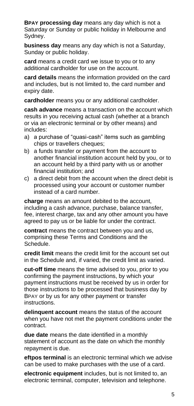<span id="page-5-0"></span>**BPAY processing day** means any day which is not a Saturday or Sunday or public holiday in Melbourne and Sydney.

<span id="page-5-1"></span>**business day** means any day which is not a Saturday, Sunday or public holiday.

**card** means a credit card we issue to you or to any additional cardholder for use on the account.

**card details** means the information provided on the card and includes, but is not limited to, the card number and expiry date.

**cardholder** means you or any additional cardholder.

**cash advance** means a transaction on the account which results in you receiving actual cash (whether at a branch or via an electronic terminal or by other means) and includes:

- a) a purchase of "quasi-cash" items such as gambling chips or travellers cheques;
- b) a funds transfer or payment from the account to another financial institution account held by you, or to an account held by a third party with us or another financial institution; and
- c) a direct debit from the account when the direct debit is processed using your account or customer number instead of a card number.

**charge** means an amount debited to the account, including a cash advance, purchase, balance transfer, fee, interest charge, tax and any other amount you have agreed to pay us or be liable for under the contract.

**contract** means the contract between you and us, comprising these Terms and Conditions and the Schedule.

**credit limit** means the credit limit for the account set out in the Schedule and, if varied, the credit limit as varied.

**cut-off time** means the time advised to you, prior to you confirming the payment instructions, by which your payment instructions must be received by us in order for those instructions to be processed that business day by BPAY or by us for any other payment or transfer instructions.

**delinquent account** means the status of the account when you have not met the payment conditions under the contract.

**due date** means the date identified in a monthly statement of account as the date on which the monthly repayment is due.

**eftpos terminal** is an electronic terminal which we advise can be used to make purchases with the use of a card.

**electronic equipment** includes, but is not limited to, an electronic terminal, computer, television and telephone.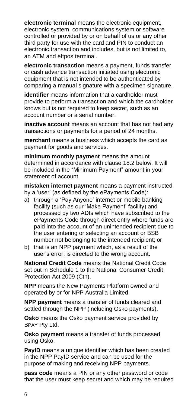**electronic terminal** means the electronic equipment, electronic system, communications system or software controlled or provided by or on behalf of us or any other third party for use with the card and PIN to conduct an electronic transaction and includes, but is not limited to, an ATM and eftpos terminal.

**electronic transaction** means a payment, funds transfer or cash advance transaction initiated using electronic equipment that is not intended to be authenticated by comparing a manual signature with a specimen signature.

**identifier** means information that a cardholder must provide to perform a transaction and which the cardholder knows but is not required to keep secret, such as an account number or a serial number.

**inactive account** means an account that has not had any transactions or payments for a period of 24 months.

**merchant** means a business which accepts the card as payment for goods and services.

**minimum monthly payment** means the amount determined in accordance with clause [18.2](#page-24-1) below. It will be included in the "Minimum Payment" amount in your statement of account.

**mistaken internet payment** means a payment instructed by a 'user' (as defined by the ePayments Code):

- a) through a 'Pay Anyone' internet or mobile banking facility (such as our 'Make Payment' facility) and processed by two ADIs which have subscribed to the ePayments Code through direct entry where funds are paid into the account of an unintended recipient due to the user entering or selecting an account or BSB number not belonging to the intended recipient; or
- b) that is an NPP payment which, as a result of the user's error, is directed to the wrong account.

**National Credit Code** means the National Credit Code set out in Schedule 1 to the National Consumer Credit Protection Act 2009 (Cth).

**NPP** means the New Payments Platform owned and operated by or for NPP Australia Limited.

**NPP payment** means a transfer of funds cleared and settled through the NPP (including Osko payments).

**Osko** means the Osko payment service provided by BPAY Pty Ltd.

**Osko payment** means a transfer of funds processed using Osko.

**PayID** means a unique identifier which has been created in the NPP PayID service and can be used for the purpose of making and receiving NPP payments.

**pass code** means a PIN or any other password or code that the user must keep secret and which may be required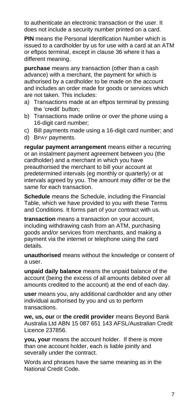to authenticate an electronic transaction or the user. It does not include a security number printed on a card.

**PIN** means the Personal Identification Number which is issued to a cardholder by us for use with a card at an ATM or eftpos terminal, except in clause [36](#page-35-0) where it has a different meaning.

**purchase** means any transaction (other than a cash advance) with a merchant, the payment for which is authorised by a cardholder to be made on the account and includes an order made for goods or services which are not taken. This includes:

- a) Transactions made at an eftpos terminal by pressing the 'credit' button;
- b) Transactions made online or over the phone using a 16-digit card number;
- c) Bill payments made using a 16-digit card number; and
- d) BPAY payments.

**regular payment arrangement** means either a recurring or an instalment payment agreement between you (the cardholder) and a merchant in which you have preauthorised the merchant to bill your account at predetermined intervals (eg monthly or quarterly) or at intervals agreed by you. The amount may differ or be the same for each transaction.

**Schedule** means the Schedule, including the Financial Table, which we have provided to you with these Terms and Conditions. It forms part of your contract with us.

**transaction** means a transaction on your account, including withdrawing cash from an ATM, purchasing goods and/or services from merchants, and making a payment via the internet or telephone using the card details.

**unauthorised** means without the knowledge or consent of a user.

**unpaid daily balance** means the unpaid balance of the account (being the excess of all amounts debited over all amounts credited to the account) at the end of each day.

**user** means you, any additional cardholder and any other individual authorised by you and us to perform transactions.

**we, us, our** or **the credit provider** means Beyond Bank Australia Ltd ABN 15 087 651 143 AFSL/Australian Credit Licence 237856.

**you, your** means the account holder. If there is more than one account holder, each is liable jointly and severally under the contract.

Words and phrases have the same meaning as in the National Credit Code.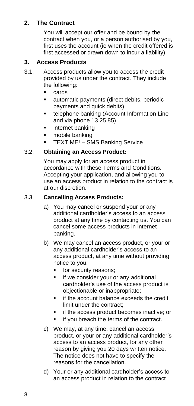#### **2. The Contract**

You will accept our offer and be bound by the contract when you, or a person authorised by you, first uses the account (ie when the credit offered is first accessed or drawn down to incur a liability).

#### **3. Access Products**

- 3.1. Access products allow you to access the credit provided by us under the contract. They include the following:
	- cards
	- automatic payments (direct debits, periodic payments and quick debits)
	- telephone banking (Account Information Line and via phone 13 25 85)
	- **•** internet banking
	- mobile banking
	- **·** TEXT ME! SMS Banking Service

#### 3.2. **Obtaining an Access Product:**

You may apply for an access product in accordance with these Terms and Conditions. Accepting your application, and allowing you to use an access product in relation to the contract is at our discretion.

#### 3.3. **Cancelling Access Products:**

- a) You may cancel or suspend your or any additional cardholder's access to an access product at any time by contacting us. You can cancel some access products in internet banking.
- b) We may cancel an access product, or your or any additional cardholder's access to an access product, at any time without providing notice to you:
	- for security reasons;
	- if we consider your or any additional cardholder's use of the access product is objectionable or inappropriate;
	- if the account balance exceeds the credit limit under the contract;
	- if the access product becomes inactive; or
	- if you breach the terms of the contract.
- c) We may, at any time, cancel an access product, or your or any additional cardholder's access to an access product, for any other reason by giving you 20 days written notice. The notice does not have to specify the reasons for the cancellation.
- d) Your or any additional cardholder's access to an access product in relation to the contract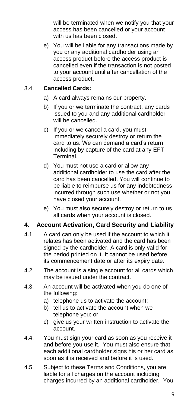will be terminated when we notify you that your access has been cancelled or your account with us has been closed.

<span id="page-9-0"></span>e) You will be liable for any transactions made by you or any additional cardholder using an access product before the access product is cancelled even if the transaction is not posted to your account until after cancellation of the access product.

#### <span id="page-9-1"></span>3.4. **Cancelled Cards:**

- a) A card always remains our property.
- b) If you or we terminate the contract, any cards issued to you and any additional cardholder will be cancelled.
- c) If you or we cancel a card, you must immediately securely destroy or return the card to us. We can demand a card's return including by capture of the card at any EFT Terminal.
- d) You must not use a card or allow any additional cardholder to use the card after the card has been cancelled. You will continue to be liable to reimburse us for any indebtedness incurred through such use whether or not you have closed your account.
- e) You must also securely destroy or return to us all cards when your account is closed.

#### **4. Account Activation, Card Security and Liability**

- 4.1. A card can only be used if the account to which it relates has been activated and the card has been signed by the cardholder. A card is only valid for the period printed on it. It cannot be used before its commencement date or after its expiry date.
- 4.2. The account is a single account for all cards which may be issued under the contract.
- 4.3. An account will be activated when you do one of the following:
	- a) telephone us to activate the account;
	- b) tell us to activate the account when we telephone you; or
	- c) give us your written instruction to activate the account.
- 4.4. You must sign your card as soon as you receive it and before you use it. You must also ensure that each additional cardholder signs his or her card as soon as it is received and before it is used.
- 4.5. Subject to these Terms and Conditions, you are liable for all charges on the account including charges incurred by an additional cardholder. You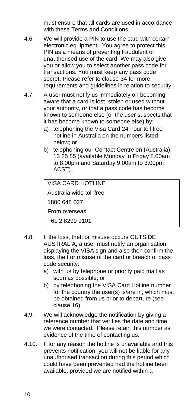must ensure that all cards are used in accordance with these Terms and Conditions.

- 4.6. We will provide a PIN to use the card with certain electronic equipment. You agree to protect this PIN as a means of preventing fraudulent or unauthorised use of the card. We may also give you or allow you to select another pass code for transactions. You must keep any pass code secret. Please refer to clause [34](#page-31-2) for more requirements and guidelines in relation to security.
- 4.7. A user must notify us immediately on becoming aware that a card is lost, stolen or used without your authority, or that a pass code has become known to someone else (or the user suspects that it has become known to someone else) by:
	- a) telephoning the Visa Card 24-hour toll free hotline in Australia on the numbers listed below; or
	- b) telephoning our Contact Centre on (Australia) 13 25 85 (available Monday to Friday 8.00am to 8.00pm and Saturday 9.00am to 3.00pm ACST).

**VISA CARD HOTLINE** Australia wide toll free 1800 648 027 From overseas +61 2 8299 9101

- <span id="page-10-0"></span>4.8. If the loss, theft or misuse occurs OUTSIDE AUSTRALIA, a user must notify an organisation displaying the VISA sign and also then confirm the loss, theft or misuse of the card or breach of pass code security:
	- a) with us by telephone or priority paid mail as soon as possible; or
	- b) by telephoning the VISA Card Hotline number for the country the user(s) is/are in, which must be obtained from us prior to departure (see clause [16\)](#page-23-0).
- 4.9. We will acknowledge the notification by giving a reference number that verifies the date and time we were contacted. Please retain this number as evidence of the time of contacting us.
- 4.10. If for any reason the hotline is unavailable and this prevents notification, you will not be liable for any unauthorised transaction during this period which could have been prevented had the hotline been available, provided we are notified within a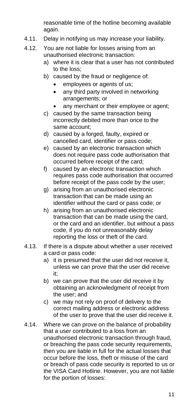reasonable time of the hotline becoming available again.

- 4.11. Delay in notifying us may increase your liability.
- 4.12. You are not liable for losses arising from an unauthorised electronic transaction:
	- a) where it is clear that a user has not contributed to the loss;
	- b) caused by the fraud or negligence of:
		- employees or agents of us:
		- any third party involved in networking arrangements; or
		- any merchant or their employee or agent;
	- c) caused by the same transaction being incorrectly debited more than once to the same account;
	- d) caused by a forged, faulty, expired or cancelled card, identifier or pass code;
	- e) caused by an electronic transaction which does not require pass code authorisation that occurred before receipt of the card;
	- f) caused by an electronic transaction which requires pass code authorisation that occurred before receipt of the pass code by the user;
	- g) arising from an unauthorised electronic transaction that can be made using an identifier without the card or pass code; or
	- h) arising from an unauthorised electronic transaction that can be made using the card, or the card and an identifier, but without a pass code, if you do not unreasonably delay reporting the loss or theft of the card.
- 4.13. If there is a dispute about whether a user received a card or pass code:
	- a) it is presumed that the user did not receive it, unless we can prove that the user did receive it;
	- b) we can prove that the user did receive it by obtaining an acknowledgment of receipt from the user; and
	- c) we may not rely on proof of delivery to the correct mailing address or electronic address of the user to prove that the user did receive it.
- 4.14. Where we can prove on the balance of probability that a user contributed to a loss from an unauthorised electronic transaction through fraud, or breaching the pass code security requirements, then you are liable in full for the actual losses that occur before the loss, theft or misuse of the card or breach of pass code security is reported to us or the VISA Card Hotline. However, you are not liable for the portion of losses: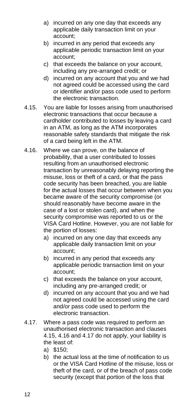- a) incurred on any one day that exceeds any applicable daily transaction limit on your account;
- b) incurred in any period that exceeds any applicable periodic transaction limit on your account;
- c) that exceeds the balance on your account, including any pre-arranged credit; or
- d) incurred on any account that you and we had not agreed could be accessed using the card or identifier and/or pass code used to perform the electronic transaction.
- 4.15. You are liable for losses arising from unauthorised electronic transactions that occur because a cardholder contributed to losses by leaving a card in an ATM, as long as the ATM incorporates reasonable safety standards that mitigate the risk of a card being left in the ATM.
- 4.16. Where we can prove, on the balance of probability, that a user contributed to losses resulting from an unauthorised electronic transaction by unreasonably delaying reporting the misuse, loss or theft of a card, or that the pass code security has been breached, you are liable for the actual losses that occur between when you became aware of the security compromise (or should reasonably have become aware in the case of a lost or stolen card), and when the security compromise was reported to us or the VISA Card Hotline. However, you are not liable for the portion of losses:
	- a) incurred on any one day that exceeds any applicable daily transaction limit on your account;
	- b) incurred in any period that exceeds any applicable periodic transaction limit on your account;
	- c) that exceeds the balance on your account, including any pre-arranged credit; or
	- d) incurred on any account that you and we had not agreed could be accessed using the card and/or pass code used to perform the electronic transaction.
- <span id="page-12-0"></span>4.17. Where a pass code was required to perform an unauthorised electronic transaction and clauses [4.15,](#page-13-0) [4.16](#page-13-1) an[d 4.17](#page-13-2) do not apply, your liability is the least of:
	- a) \$150;
	- b) the actual loss at the time of notification to us or the VISA Card Hotline of the misuse, loss or theft of the card, or of the breach of pass code security (except that portion of the loss that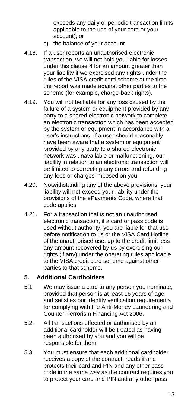exceeds any daily or periodic transaction limits applicable to the use of your card or your account); or

- c) the balance of your account.
- 4.18. If a user reports an unauthorised electronic transaction, we will not hold you liable for losses under this claus[e 4](#page-10-0) for an amount greater than your liability if we exercised any rights under the rules of the VISA credit card scheme at the time the report was made against other parties to the scheme (for example, charge-back rights).
- <span id="page-13-0"></span>4.19. You will not be liable for any loss caused by the failure of a system or equipment provided by any party to a shared electronic network to complete an electronic transaction which has been accepted by the system or equipment in accordance with a user's instructions. If a user should reasonably have been aware that a system or equipment provided by any party to a shared electronic network was unavailable or malfunctioning, our liability in relation to an electronic transaction will be limited to correcting any errors and refunding any fees or charges imposed on you.
- <span id="page-13-1"></span>4.20. Notwithstanding any of the above provisions, your liability will not exceed your liability under the provisions of the ePayments Code, where that code applies.
- 4.21. For a transaction that is not an unauthorised electronic transaction, if a card or pass code is used without authority, you are liable for that use before notification to us or the VISA Card Hotline of the unauthorised use, up to the credit limit less any amount recovered by us by exercising our rights (if any) under the operating rules applicable to the VISA credit card scheme against other parties to that scheme.

#### **5. Additional Cardholders**

- 5.1. We may issue a card to any person you nominate, provided that person is at least 16 years of age and satisfies our identity verification requirements for complying with the Anti-Money Laundering and Counter-Terrorism Financing Act 2006.
- <span id="page-13-2"></span>5.2. All transactions effected or authorised by an additional cardholder will be treated as having been authorised by you and you will be responsible for them.
- 5.3. You must ensure that each additional cardholder receives a copy of the contract, reads it and protects their card and PIN and any other pass code in the same way as the contract requires you to protect your card and PIN and any other pass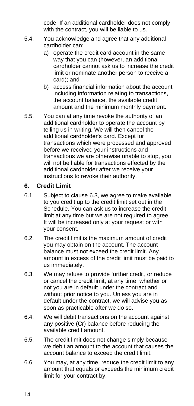code. If an additional cardholder does not comply with the contract, you will be liable to us.

- 5.4. You acknowledge and agree that any additional cardholder can:
	- a) operate the credit card account in the same way that you can (however, an additional cardholder cannot ask us to increase the credit limit or nominate another person to receive a card); and
	- b) access financial information about the account including information relating to transactions, the account balance, the available credit amount and the minimum monthly payment.
- 5.5. You can at any time revoke the authority of an additional cardholder to operate the account by telling us in writing. We will then cancel the additional cardholder's card. Except for transactions which were processed and approved before we received your instructions and transactions we are otherwise unable to stop, you will not be liable for transactions effected by the additional cardholder after we receive your instructions to revoke their authority.

#### **6. Credit Limit**

- <span id="page-14-1"></span>6.1. Subject to clause [6.3,](#page-15-1) we agree to make available to you credit up to the credit limit set out in the Schedule. You can ask us to increase the credit limit at any time but we are not required to agree. It will be increased only at your request or with your consent.
- 6.2. The credit limit is the maximum amount of credit you may obtain on the account. The account balance must not exceed the credit limit. Any amount in excess of the credit limit must be paid to us immediately.
- <span id="page-14-0"></span>6.3. We may refuse to provide further credit, or reduce or cancel the credit limit, at any time, whether or not you are in default under the contract and without prior notice to you. Unless you are in default under the contract, we will advise you as soon as practicable after we do so.
- 6.4. We will debit transactions on the account against any positive (Cr) balance before reducing the available credit amount.
- 6.5. The credit limit does not change simply because we debit an amount to the account that causes the account balance to exceed the credit limit.
- 6.6. You may, at any time, reduce the credit limit to any amount that equals or exceeds the minimum credit limit for your contract by: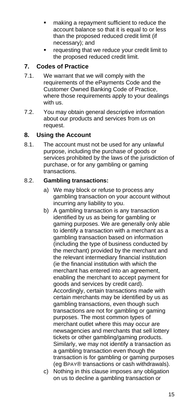- making a repayment sufficient to reduce the account balance so that it is equal to or less than the proposed reduced credit limit (if necessary); and
- requesting that we reduce your credit limit to the proposed reduced credit limit.

#### **7. Codes of Practice**

- 7.1. We warrant that we will comply with the requirements of the ePayments Code and the Customer Owned Banking Code of Practice, where those requirements apply to your dealings with us.
- <span id="page-15-2"></span>7.2. You may obtain general descriptive information about our products and services from us on request.

#### **8. Using the Account**

8.1. The account must not be used for any unlawful purpose, including the purchase of goods or services prohibited by the laws of the jurisdiction of purchase, or for any gambling or gaming transactions.

#### <span id="page-15-0"></span>8.2. **Gambling transactions:**

- a) We may block or refuse to process any gambling transaction on your account without incurring any liability to you.
- <span id="page-15-1"></span>b) A gambling transaction is any transaction identified by us as being for gambling or gaming purposes. We are generally only able to identify a transaction with a merchant as a gambling transaction based on information (including the type of business conducted by the merchant) provided by the merchant and the relevant intermediary financial institution (ie the financial institution with which the merchant has entered into an agreement, enabling the merchant to accept payment for goods and services by credit card). Accordingly, certain transactions made with certain merchants may be identified by us as gambling transactions, even though such transactions are not for gambling or gaming purposes. The most common types of merchant outlet where this may occur are newsagencies and merchants that sell lottery tickets or other gambling/gaming products. Similarly, we may not identify a transaction as a gambling transaction even though the transaction is for gambling or gaming purposes (eg BPAY® transactions or cash withdrawals).
- c) Nothing in this clause imposes any obligation on us to decline a gambling transaction or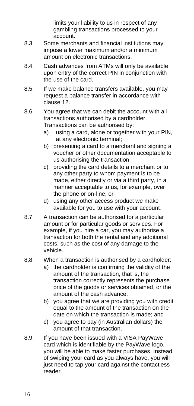limits your liability to us in respect of any gambling transactions processed to your account.

- 8.3. Some merchants and financial institutions may impose a lower maximum and/or a minimum amount on electronic transactions.
- <span id="page-16-0"></span>8.4. Cash advances from ATMs will only be available upon entry of the correct PIN in conjunction with the use of the card.
- 8.5. If we make balance transfers available, you may request a balance transfer in accordance with claus[e 12.](#page-20-0)
- <span id="page-16-1"></span>8.6. You agree that we can debit the account with all transactions authorised by a cardholder. Transactions can be authorised by:
	- a) using a card, alone or together with your PIN, at any electronic terminal;
	- b) presenting a card to a merchant and signing a voucher or other documentation acceptable to us authorising the transaction;
	- c) providing the card details to a merchant or to any other party to whom payment is to be made, either directly or via a third party, in a manner acceptable to us, for example, over the phone or on-line; or
	- d) using any other access product we make available for you to use with your account.
- 8.7. A transaction can be authorised for a particular amount or for particular goods or services. For example, if you hire a car, you may authorise a transaction for both the rental and any additional costs, such as the cost of any damage to the vehicle.
- 8.8. When a transaction is authorised by a cardholder:
	- a) the cardholder is confirming the validity of the amount of the transaction, that is, the transaction correctly represents the purchase price of the goods or services obtained, or the amount of the cash advance;
	- b) you agree that we are providing you with credit equal to the amount of the transaction on the date on which the transaction is made; and
	- c) you agree to pay (in Australian dollars) the amount of that transaction.
- 8.9. If you have been issued with a VISA PayWave card which is identifiable by the PayWave logo, you will be able to make faster purchases. Instead of swiping your card as you always have, you will just need to tap your card against the contactless reader.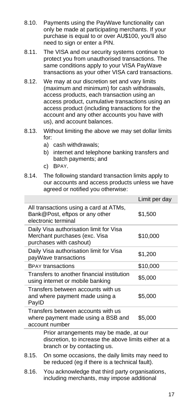- 8.10. Payments using the PayWave functionality can only be made at participating merchants. If your purchase is equal to or over AU\$100, you'll also need to sign or enter a PIN.
- 8.11. The VISA and our security systems continue to protect you from unauthorised transactions. The same conditions apply to your VISA PayWave transactions as your other VISA card transactions.
- 8.12. We may at our discretion set and vary limits (maximum and minimum) for cash withdrawals, access products, each transaction using an access product, cumulative transactions using an access product (including transactions for the account and any other accounts you have with us), and account balances.
- 8.13. Without limiting the above we may set dollar limits for:
	- a) cash withdrawals;
	- b) internet and telephone banking transfers and batch payments; and
	- c) BPAY.
- 8.14. The following standard transaction limits apply to our accounts and access products unless we have agreed or notified you otherwise:

|                                                                                                       |                                                                                                                               | Limit per day |  |
|-------------------------------------------------------------------------------------------------------|-------------------------------------------------------------------------------------------------------------------------------|---------------|--|
|                                                                                                       | All transactions using a card at ATMs,<br>Bank@Post, eftpos or any other<br>electronic terminal                               | \$1,500       |  |
|                                                                                                       | Daily Visa authorisation limit for Visa<br>Merchant purchases (exc. Visa<br>purchases with cashout)                           | \$10,000      |  |
| Daily Visa authorisation limit for Visa<br>\$1,200<br>payWave transactions                            |                                                                                                                               |               |  |
| <b>BPAY transactions</b><br>\$10,000                                                                  |                                                                                                                               |               |  |
| Transfers to another financial institution<br>\$5,000<br>using internet or mobile banking             |                                                                                                                               |               |  |
| Transfers between accounts with us<br>\$5,000<br>and where payment made using a<br>PayID              |                                                                                                                               |               |  |
| Transfers between accounts with us<br>\$5,000<br>where payment made using a BSB and<br>account number |                                                                                                                               |               |  |
|                                                                                                       | Prior arrangements may be made, at our<br>discretion, to increase the above limits either at a<br>branch or by contacting us. |               |  |
| 8.15.                                                                                                 | On some occasions, the daily limits may need to                                                                               |               |  |

- 8.15. On some occasions, the daily limits may need to be reduced (eg if there is a technical fault).
- 8.16. You acknowledge that third party organisations, including merchants, may impose additional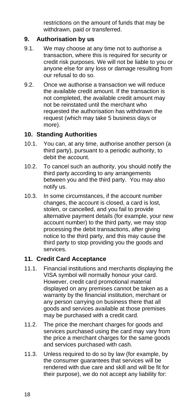restrictions on the amount of funds that may be withdrawn, paid or transferred.

#### **9. Authorisation by us**

- 9.1. We may choose at any time not to authorise a transaction, where this is required for security or credit risk purposes. We will not be liable to you or anyone else for any loss or damage resulting from our refusal to do so.
- 9.2. Once we authorise a transaction we will reduce the available credit amount. If the transaction is not completed, the available credit amount may not be reinstated until the merchant who requested the authorisation has withdrawn the request (which may take 5 business days or more).

#### **10. Standing Authorities**

- 10.1. You can, at any time, authorise another person (a third party), pursuant to a periodic authority, to debit the account.
- 10.2. To cancel such an authority, you should notify the third party according to any arrangements between you and the third party. You may also notify us.
- 10.3. In some circumstances, if the account number changes, the account is closed, a card is lost, stolen, or cancelled, and you fail to provide alternative payment details (for example, your new account number) to the third party, we may stop processing the debit transactions, after giving notice to the third party, and this may cause the third party to stop providing you the goods and services.

#### **11. Credit Card Acceptance**

- 11.1. Financial institutions and merchants displaying the VISA symbol will normally honour your card. However, credit card promotional material displayed on any premises cannot be taken as a warranty by the financial institution, merchant or any person carrying on business there that all goods and services available at those premises may be purchased with a credit card.
- 11.2. The price the merchant charges for goods and services purchased using the card may vary from the price a merchant charges for the same goods and services purchased with cash.
- 11.3. Unless required to do so by law (for example, by the consumer guarantees that services will be rendered with due care and skill and will be fit for their purpose), we do not accept any liability for: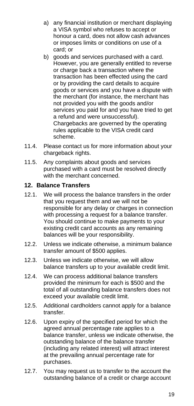- <span id="page-19-0"></span>a) any financial institution or merchant displaying a VISA symbol who refuses to accept or honour a card, does not allow cash advances or imposes limits or conditions on use of a card; or
- b) goods and services purchased with a card. However, you are generally entitled to reverse or charge back a transaction where the transaction has been effected using the card or by providing the card details to acquire goods or services and you have a dispute with the merchant (for instance, the merchant has not provided you with the goods and/or services you paid for and you have tried to get a refund and were unsuccessful). Chargebacks are governed by the operating rules applicable to the VISA credit card scheme.
- <span id="page-19-1"></span>11.4. Please contact us for more information about your chargeback rights.
- 11.5. Any complaints about goods and services purchased with a card must be resolved directly with the merchant concerned.

#### **12. Balance Transfers**

- 12.1. We will process the balance transfers in the order that you request them and we will not be responsible for any delay or charges in connection with processing a request for a balance transfer. You should continue to make payments to your existing credit card accounts as any remaining balances will be your responsibility.
- 12.2. Unless we indicate otherwise, a minimum balance transfer amount of \$500 applies.
- <span id="page-19-2"></span>12.3. Unless we indicate otherwise, we will allow balance transfers up to your available credit limit.
- 12.4. We can process additional balance transfers provided the minimum for each is \$500 and the total of all outstanding balance transfers does not exceed your available credit limit.
- 12.5. Additional cardholders cannot apply for a balance transfer.
- 12.6. Upon expiry of the specified period for which the agreed annual percentage rate applies to a balance transfer, unless we indicate otherwise, the outstanding balance of the balance transfer (including any related interest) will attract interest at the prevailing annual percentage rate for purchases.
- 12.7. You may request us to transfer to the account the outstanding balance of a credit or charge account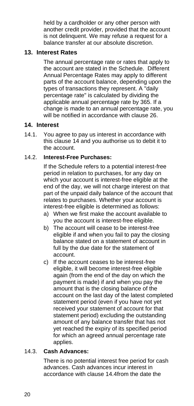held by a cardholder or any other person with another credit provider, provided that the account is not delinquent. We may refuse a request for a balance transfer at our absolute discretion.

#### **13. Interest Rates**

The annual percentage rate or rates that apply to the account are stated in the Schedule. Different Annual Percentage Rates may apply to different parts of the account balance, depending upon the types of transactions they represent. A "daily percentage rate" is calculated by dividing the applicable annual percentage rate by 365. If a change is made to an annual percentage rate, you will be notified in accordance with clause [26.](#page-28-2)

#### **14. Interest**

14.1. You agree to pay us interest in accordance with this clause [14](#page-21-1) and you authorise us to debit it to the account.

#### <span id="page-20-0"></span>14.2. **Interest-Free Purchases:**

If the Schedule refers to a potential interest-free period in relation to purchases, for any day on which your account is interest-free eligible at the end of the day, we will not charge interest on that part of the unpaid daily balance of the account that relates to purchases. Whether your account is interest-free eligible is determined as follows:

- a) When we first make the account available to you the account is interest-free eligible.
- b) The account will cease to be interest-free eligible if and when you fail to pay the closing balance stated on a statement of account in full by the due date for the statement of account.
- c) If the account ceases to be interest-free eligible, it will become interest-free eligible again (from the end of the day on which the payment is made) if and when you pay the amount that is the closing balance of the account on the last day of the latest completed statement period (even if you have not yet received your statement of account for that statement period) excluding the outstanding amount of any balance transfer that has not yet reached the expiry of its specified period for which an agreed annual percentage rate applies.

#### 14.3. **Cash Advances:**

There is no potential interest free period for cash advances. Cash advances incur interest in accordance with claus[e 14.4f](#page-22-1)rom the date the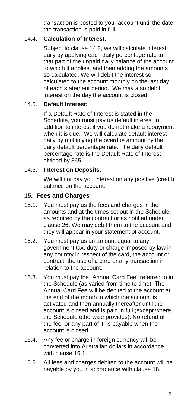transaction is posted to your account until the date the transaction is paid in full.

#### <span id="page-21-0"></span>14.4. **Calculation of Interest:**

Subject to clause [14.2,](#page-21-2) we will calculate interest daily by applying each daily percentage rate to that part of the unpaid daily balance of the account to which it applies, and then adding the amounts so calculated. We will debit the interest so calculated to the account monthly on the last day of each statement period. We may also debit interest on the day the account is closed.

#### <span id="page-21-1"></span>14.5. **Default Interest:**

If a Default Rate of Interest is stated in the Schedule, you must pay us default interest in addition to interest if you do not make a repayment when it is due. We will calculate default interest daily by multiplying the overdue amount by the daily default percentage rate. The daily default percentage rate is the Default Rate of Interest divided by 365.

#### <span id="page-21-2"></span>14.6. **Interest on Deposits:**

We will not pay you interest on any positive (credit) balance on the account.

#### **15. Fees and Charges**

- 15.1. You must pay us the fees and charges in the amounts and at the times set out in the Schedule, as required by the contract or as notified under claus[e 26.](#page-28-2) We may debit them to the account and they will appear in your statement of account.
- 15.2. You must pay us an amount equal to any government tax, duty or charge imposed by law in any country in respect of the card, the account or contract, the use of a card or any transaction in relation to the account.
- 15.3. You must pay the "Annual Card Fee" referred to in the Schedule (as varied from time to time). The Annual Card Fee will be debited to the account at the end of the month in which the account is activated and then annually thereafter until the account is closed and is paid in full (except where the Schedule otherwise provides). No refund of the fee, or any part of it, is payable when the account is closed.
- 15.4. Any fee or charge in foreign currency will be converted into Australian dollars in accordance with clause [16.1.](#page-23-2)
- 15.5. All fees and charges debited to the account will be payable by you in accordance with clause [18.](#page-24-0)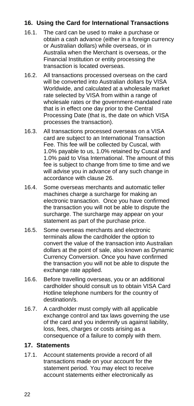#### **16. Using the Card for International Transactions**

- <span id="page-22-1"></span>16.1. The card can be used to make a purchase or obtain a cash advance (either in a foreign currency or Australian dollars) while overseas, or in Australia when the Merchant is overseas, or the Financial Institution or entity processing the transaction is located overseas.
- 16.2. All transactions processed overseas on the card will be converted into Australian dollars by VISA Worldwide, and calculated at a wholesale market rate selected by VISA from within a range of wholesale rates or the government-mandated rate that is in effect one day prior to the Central Processing Date (that is, the date on which VISA processes the transaction).
- 16.3. All transactions processed overseas on a VISA card are subject to an International Transaction Fee. This fee will be collected by Cuscal, with 1.0% payable to us, 1.0% retained by Cuscal and 1.0% paid to Visa International. The amount of this fee is subject to change from time to time and we will advise you in advance of any such change in accordance with claus[e 26.](#page-28-2)
- <span id="page-22-0"></span>16.4. Some overseas merchants and automatic teller machines charge a surcharge for making an electronic transaction. Once you have confirmed the transaction you will not be able to dispute the surcharge. The surcharge may appear on your statement as part of the purchase price.
- 16.5. Some overseas merchants and electronic terminals allow the cardholder the option to convert the value of the transaction into Australian dollars at the point of sale, also known as Dynamic Currency Conversion. Once you have confirmed the transaction you will not be able to dispute the exchange rate applied.
- 16.6. Before travelling overseas, you or an additional cardholder should consult us to obtain VISA Card Hotline telephone numbers for the country of destination/s.
- 16.7. A cardholder must comply with all applicable exchange control and tax laws governing the use of the card and you indemnify us against liability, loss, fees, charges or costs arising as a consequence of a failure to comply with them.

#### **17. Statements**

17.1. Account statements provide a record of all transactions made on your account for the statement period. You may elect to receive account statements either electronically as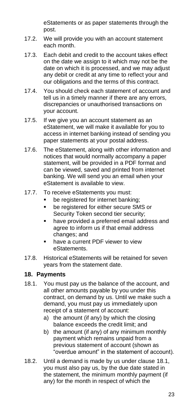eStatements or as paper statements through the post.

- <span id="page-23-2"></span><span id="page-23-0"></span>17.2. We will provide you with an account statement each month.
- 17.3. Each debit and credit to the account takes effect on the date we assign to it which may not be the date on which it is processed, and we may adjust any debit or credit at any time to reflect your and our obligations and the terms of this contract.
- 17.4. You should check each statement of account and tell us in a timely manner if there are any errors, discrepancies or unauthorised transactions on your account.
- 17.5. If we give you an account statement as an eStatement, we will make it available for you to access in internet banking instead of sending you paper statements at your postal address.
- 17.6. The eStatement, along with other information and notices that would normally accompany a paper statement, will be provided in a PDF format and can be viewed, saved and printed from internet banking. We will send you an email when your eStatement is available to view.
- 17.7. To receive eStatements you must:
	- be registered for internet banking;
	- be registered for either secure SMS or Security Token second tier security;
	- have provided a preferred email address and agree to inform us if that email address changes; and
	- have a current PDF viewer to view eStatements.
- 17.8. Historical eStatements will be retained for seven years from the statement date.

#### **18. Payments**

- 18.1. You must pay us the balance of the account, and all other amounts payable by you under this contract, on demand by us. Until we make such a demand, you must pay us immediately upon receipt of a statement of account:
	- a) the amount (if any) by which the closing balance exceeds the credit limit; and
	- b) the amount (if any) of any minimum monthly payment which remains unpaid from a previous statement of account (shown as "overdue amount" in the statement of account).
- <span id="page-23-1"></span>18.2. Until a demand is made by us under clause [18.1,](#page-24-2) you must also pay us, by the due date stated in the statement, the minimum monthly payment (if any) for the month in respect of which the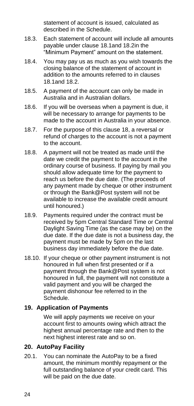statement of account is issued, calculated as described in the Schedule.

- 18.3. Each statement of account will include all amounts payable under clause [18.1a](#page-24-2)nd [18.2in](#page-24-1) the "Minimum Payment" amount on the statement.
- 18.4. You may pay us as much as you wish towards the closing balance of the statement of account in addition to the amounts referred to in clauses [18.1a](#page-24-2)nd [18.2.](#page-24-1)
- 18.5. A payment of the account can only be made in Australia and in Australian dollars.
- 18.6. If you will be overseas when a payment is due, it will be necessary to arrange for payments to be made to the account in Australia in your absence.
- 18.7. For the purpose of this clause [18,](#page-24-0) a reversal or refund of charges to the account is not a payment to the account.
- 18.8. A payment will not be treated as made until the date we credit the payment to the account in the ordinary course of business. If paying by mail you should allow adequate time for the payment to reach us before the due date. (The proceeds of any payment made by cheque or other instrument or through the Bank@Post system will not be available to increase the available credit amount until honoured.)
- 18.9. Payments required under the contract must be received by 5pm Central Standard Time or Central Daylight Saving Time (as the case may be) on the due date. If the due date is not a business day, the payment must be made by 5pm on the last business day immediately before the due date.
- <span id="page-24-0"></span>18.10. If your cheque or other payment instrument is not honoured in full when first presented or if a payment through the Bank@Post system is not honoured in full, the payment will not constitute a valid payment and you will be charged the payment dishonour fee referred to in the Schedule.

#### <span id="page-24-2"></span>**19. Application of Payments**

We will apply payments we receive on your account first to amounts owing which attract the highest annual percentage rate and then to the next highest interest rate and so on.

#### **20. AutoPay Facility**

<span id="page-24-1"></span>20.1. You can nominate the AutoPay to be a fixed amount, the minimum monthly repayment or the full outstanding balance of your credit card. This will be paid on the due date.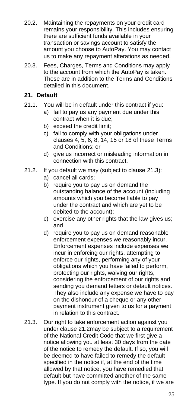- 20.2. Maintaining the repayments on your credit card remains your responsibility. This includes ensuring there are sufficient funds available in your transaction or savings account to satisfy the amount you choose to AutoPay. You may contact us to make any repayment alterations as needed.
- 20.3. Fees, Charges, Terms and Conditions may apply to the account from which the AutoPay is taken. These are in addition to the Terms and Conditions detailed in this document.

#### **21. Default**

- 21.1. You will be in default under this contract if you:
	- a) fail to pay us any payment due under this contract when it is due;
	- b) exceed the credit limit;
	- c) fail to comply with your obligations under clauses [4,](#page-10-0) [5,](#page-14-0) [6,](#page-15-0) [8,](#page-16-1) [14,](#page-21-1) [15](#page-22-0) or [18](#page-24-0) of these Terms and Conditions; or
	- d) give us incorrect or misleading information in connection with this contract.
- 21.2. If you default we may (subject to clause [21.3\)](#page-26-1):
	- a) cancel all cards;
	- b) require you to pay us on demand the outstanding balance of the account (including amounts which you become liable to pay under the contract and which are yet to be debited to the account);
	- c) exercise any other rights that the law gives us; and
	- d) require you to pay us on demand reasonable enforcement expenses we reasonably incur. Enforcement expenses include expenses we incur in enforcing our rights, attempting to enforce our rights, performing any of your obligations which you have failed to perform, protecting our rights, waiving our rights, considering the enforcement of our rights and sending you demand letters or default notices. They also include any expense we have to pay on the dishonour of a cheque or any other payment instrument given to us for a payment in relation to this contract.
- <span id="page-25-1"></span><span id="page-25-0"></span>21.3. Our right to take enforcement action against you under clause [21.2m](#page-26-2)ay be subject to a requirement of the National Credit Code that we first give a notice allowing you at least 30 days from the date of the notice to remedy the default. If so, you will be deemed to have failed to remedy the default specified in the notice if, at the end of the time allowed by that notice, you have remedied that default but have committed another of the same type. If you do not comply with the notice, if we are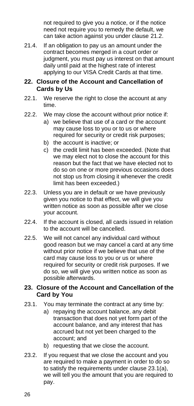not required to give you a notice, or if the notice need not require you to remedy the default, we can take action against you under clause [21.2.](#page-26-2)

21.4. If an obligation to pay us an amount under the contract becomes merged in a court order or judgment, you must pay us interest on that amount daily until paid at the highest rate of interest applying to our VISA Credit Cards at that time.

#### **22. Closure of the Account and Cancellation of Cards by Us**

- <span id="page-26-0"></span>22.1. We reserve the right to close the account at any time.
- 22.2. We may close the account without prior notice if:
	- a) we believe that use of a card or the account may cause loss to you or to us or where required for security or credit risk purposes;
	- b) the account is inactive; or
	- c) the credit limit has been exceeded. (Note that we may elect not to close the account for this reason but the fact that we have elected not to do so on one or more previous occasions does not stop us from closing it whenever the credit limit has been exceeded.)
- <span id="page-26-2"></span>22.3. Unless you are in default or we have previously given you notice to that effect, we will give you written notice as soon as possible after we close your account.
- 22.4. If the account is closed, all cards issued in relation to the account will be cancelled.
- 22.5. We will not cancel any individual card without good reason but we may cancel a card at any time without prior notice if we believe that use of the card may cause loss to you or us or where required for security or credit risk purposes. If we do so, we will give you written notice as soon as possible afterwards.

#### **23. Closure of the Account and Cancellation of the Card by You**

- <span id="page-26-1"></span>23.1. You may terminate the contract at any time by:
	- a) repaying the account balance, any debit transaction that does not yet form part of the account balance, and any interest that has accrued but not yet been charged to the account; and
	- b) requesting that we close the account.
- 23.2. If you request that we close the account and you are required to make a payment in order to do so to satisfy the requirements under clause 23.1(a), we will tell you the amount that you are required to pay.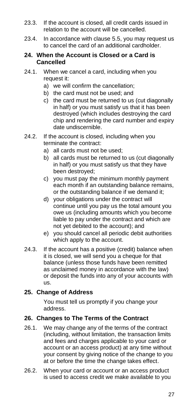- 23.3. If the account is closed, all credit cards issued in relation to the account will be cancelled.
- 23.4. In accordance with clause [5.5,](#page-15-2) you may request us to cancel the card of an additional cardholder.

#### **24. When the Account is Closed or a Card is Cancelled**

- <span id="page-27-0"></span>24.1. When we cancel a card, including when you request it:
	- a) we will confirm the cancellation;
	- b) the card must not be used; and
	- c) the card must be returned to us (cut diagonally in half) or you must satisfy us that it has been destroyed (which includes destroying the card chip and rendering the card number and expiry date undiscernible.
- 24.2. If the account is closed, including when you terminate the contract:
	- a) all cards must not be used;
	- b) all cards must be returned to us (cut diagonally in half) or you must satisfy us that they have been destroyed;
	- c) you must pay the minimum monthly payment each month if an outstanding balance remains, or the outstanding balance if we demand it;
	- d) your obligations under the contract will continue until you pay us the total amount you owe us (including amounts which you become liable to pay under the contract and which are not yet debited to the account); and
	- e) you should cancel all periodic debit authorities which apply to the account.
- 24.3. If the account has a positive (credit) balance when it is closed, we will send you a cheque for that balance (unless those funds have been remitted as unclaimed money in accordance with the law) or deposit the funds into any of your accounts with us.

#### <span id="page-27-1"></span>**25. Change of Address**

You must tell us promptly if you change your address.

#### **26. Changes to The Terms of the Contract**

- 26.1. We may change any of the terms of the contract (including, without limitation, the transaction limits and fees and charges applicable to your card or account or an access product) at any time without your consent by giving notice of the change to you at or before the time the change takes effect.
- 26.2. When your card or account or an access product is used to access credit we make available to you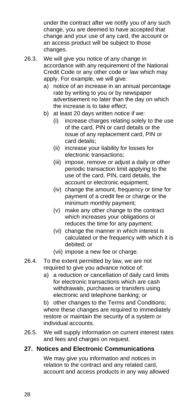under the contract after we notify you of any such change, you are deemed to have accepted that change and your use of any card, the account or an access product will be subject to those changes.

- <span id="page-28-0"></span>26.3. We will give you notice of any change in accordance with any requirement of the National Credit Code or any other code or law which may apply. For example, we will give:
	- a) notice of an increase in an annual percentage rate by writing to you or by newspaper advertisement no later than the day on which the increase is to take effect;
	- b) at least 20 days written notice if we:
		- (i) increase charges relating solely to the use of the card, PIN or card details or the issue of any replacement card, PIN or card details;
		- (ii) increase your liability for losses for electronic transactions;
		- (iii) impose, remove or adjust a daily or other periodic transaction limit applying to the use of the card, PIN, card details, the account or electronic equipment;
		- (iv) change the amount, frequency or time for payment of a credit fee or charge or the minimum monthly payment;
		- (v) make any other change to the contract which increases your obligations or reduces the time for any payment;
		- (vi) change the manner in which interest is calculated or the frequency with which it is debited; or
		- (vii) impose a new fee or charge.
- 26.4. To the extent permitted by law, we are not required to give you advance notice of:
	- a) a reduction or cancellation of daily card limits for electronic transactions which are cash withdrawals, purchases or transfers using electronic and telephone banking; or

<span id="page-28-1"></span>b) other changes to the Terms and Conditions; where these changes are required to immediately restore or maintain the security of a system or individual accounts.

<span id="page-28-2"></span>26.5. We will supply information on current interest rates and fees and charges on request.

#### **27. Notices and Electronic Communications**

We may give you information and notices in relation to the contract and any related card, account and access products in any way allowed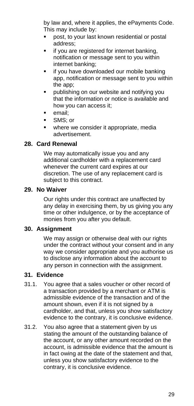by law and, where it applies, the ePayments Code. This may include by:

- post, to your last known residential or postal address;
- **·** if you are registered for internet banking. notification or message sent to you within internet banking;
- if you have downloaded our mobile banking app, notification or message sent to you within the app;
- publishing on our website and notifying you that the information or notice is available and how you can access it;
- email;
- SMS: or
- where we consider it appropriate, media advertisement.

#### **28. Card Renewal**

We may automatically issue you and any additional cardholder with a replacement card whenever the current card expires at our discretion. The use of any replacement card is subject to this contract.

#### **29. No Waiver**

Our rights under this contract are unaffected by any delay in exercising them, by us giving you any time or other indulgence, or by the acceptance of monies from you after you default.

#### **30. Assignment**

We may assign or otherwise deal with our rights under the contract without your consent and in any way we consider appropriate and you authorise us to disclose any information about the account to any person in connection with the assignment.

#### **31. Evidence**

- 31.1. You agree that a sales voucher or other record of a transaction provided by a merchant or ATM is admissible evidence of the transaction and of the amount shown, even if it is not signed by a cardholder, and that, unless you show satisfactory evidence to the contrary, it is conclusive evidence.
- <span id="page-29-0"></span>31.2. You also agree that a statement given by us stating the amount of the outstanding balance of the account, or any other amount recorded on the account, is admissible evidence that the amount is in fact owing at the date of the statement and that, unless you show satisfactory evidence to the contrary, it is conclusive evidence.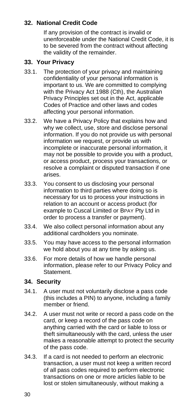#### **32. National Credit Code**

If any provision of the contract is invalid or unenforceable under the National Credit Code, it is to be severed from the contract without affecting the validity of the remainder.

#### **33. Your Privacy**

- 33.1. The protection of your privacy and maintaining confidentiality of your personal information is important to us. We are committed to complying with the Privacy Act 1988 (Cth), the Australian Privacy Principles set out in the Act, applicable Codes of Practice and other laws and codes affecting your personal information.
- <span id="page-30-0"></span>33.2. We have a Privacy Policy that explains how and why we collect, use, store and disclose personal information. If you do not provide us with personal information we request, or provide us with incomplete or inaccurate personal information, it may not be possible to provide you with a product, or access product, process your transactions, or resolve a complaint or disputed transaction if one arises.
- <span id="page-30-1"></span>33.3. You consent to us disclosing your personal information to third parties where doing so is necessary for us to process your instructions in relation to an account or access product (for example to Cuscal Limited or BPAY Pty Ltd in order to process a transfer or payment).
- <span id="page-30-2"></span>33.4. We also collect personal information about any additional cardholders you nominate.
- 33.5. You may have access to the personal information we hold about you at any time by asking us.
- 33.6. For more details of how we handle personal information, please refer to our Privacy Policy and **Statement**

#### <span id="page-30-3"></span>**34. Security**

- 34.1. A user must not voluntarily disclose a pass code (this includes a PIN) to anyone, including a family member or friend.
- 34.2. A user must not write or record a pass code on the card, or keep a record of the pass code on anything carried with the card or liable to loss or theft simultaneously with the card, unless the user makes a reasonable attempt to protect the security of the pass code.
- 34.3. If a card is not needed to perform an electronic transaction, a user must not keep a written record of all pass codes required to perform electronic transactions on one or more articles liable to be lost or stolen simultaneously, without making a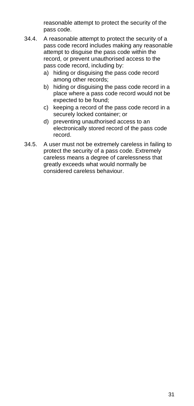reasonable attempt to protect the security of the pass code.

- <span id="page-31-1"></span><span id="page-31-0"></span>34.4. A reasonable attempt to protect the security of a pass code record includes making any reasonable attempt to disguise the pass code within the record, or prevent unauthorised access to the pass code record, including by:
	- a) hiding or disguising the pass code record among other records;
	- b) hiding or disguising the pass code record in a place where a pass code record would not be expected to be found;
	- c) keeping a record of the pass code record in a securely locked container; or
	- d) preventing unauthorised access to an electronically stored record of the pass code record.
- <span id="page-31-2"></span>34.5. A user must not be extremely careless in failing to protect the security of a pass code. Extremely careless means a degree of carelessness that greatly exceeds what would normally be considered careless behaviour.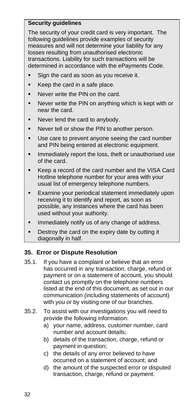#### **Security guidelines**

The security of your credit card is very important. The following guidelines provide examples of security measures and will not determine your liability for any losses resulting from unauthorised electronic transactions. Liability for such transactions will be determined in accordance with the ePayments Code.

- Sign the card as soon as you receive it.
- Keep the card in a safe place.
- Never write the PIN on the card.
- Never write the PIN on anything which is kept with or near the card.
- Never lend the card to anybody.
- Never tell or show the PIN to another person.
- Use care to prevent anyone seeing the card number and PIN being entered at electronic equipment.
- Immediately report the loss, theft or unauthorised use of the card.
- Keep a record of the card number and the VISA Card Hotline telephone number for your area with your usual list of emergency telephone numbers.
- Examine your periodical statement immediately upon receiving it to identify and report, as soon as possible, any instances where the card has been used without your authority.
- Immediately notify us of any change of address.
- Destroy the card on the expiry date by cutting it diagonally in half.

#### **35. Error or Dispute Resolution**

- 35.1. If you have a complaint or believe that an error has occurred in any transaction, charge, refund or payment or on a statement of account, you should contact us promptly on the telephone numbers listed at the end of this document, as set out in our communication (including statements of account) with you or by visiting one of our branches.
- 35.2. To assist with our investigations you will need to provide the following information:
	- a) your name, address, customer number, card number and account details;
	- b) details of the transaction, charge, refund or payment in question;
	- c) the details of any error believed to have occurred on a statement of account; and
	- d) the amount of the suspected error or disputed transaction, charge, refund or payment.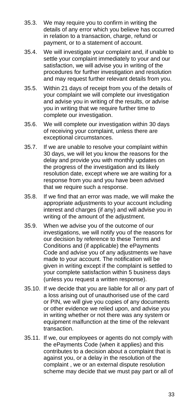- 35.3. We may require you to confirm in writing the details of any error which you believe has occurred in relation to a transaction, charge, refund or payment, or to a statement of account.
- 35.4. We will investigate your complaint and, if unable to settle your complaint immediately to your and our satisfaction, we will advise you in writing of the procedures for further investigation and resolution and may request further relevant details from you.
- 35.5. Within 21 days of receipt from you of the details of your complaint we will complete our investigation and advise you in writing of the results, or advise you in writing that we require further time to complete our investigation.
- 35.6. We will complete our investigation within 30 days of receiving your complaint, unless there are exceptional circumstances.
- 35.7. If we are unable to resolve your complaint within 30 days, we will let you know the reasons for the delay and provide you with monthly updates on the progress of the investigation and its likely resolution date, except where we are waiting for a response from you and you have been advised that we require such a response.
- 35.8. If we find that an error was made, we will make the appropriate adjustments to your account including interest and charges (if any) and will advise you in writing of the amount of the adjustment.
- <span id="page-33-0"></span>35.9. When we advise you of the outcome of our investigations, we will notify you of the reasons for our decision by reference to these Terms and Conditions and (if applicable) the ePayments Code and advise you of any adjustments we have made to your account. The notification will be given in writing except if the complaint is settled to your complete satisfaction within 5 business days (unless you request a written response).
- 35.10. If we decide that you are liable for all or any part of a loss arising out of unauthorised use of the card or PIN, we will give you copies of any documents or other evidence we relied upon, and advise you in writing whether or not there was any system or equipment malfunction at the time of the relevant transaction.
- 35.11. If we, our employees or agents do not comply with the ePayments Code (when it applies) and this contributes to a decision about a complaint that is against you, or a delay in the resolution of the complaint , we or an external dispute resolution scheme may decide that we must pay part or all of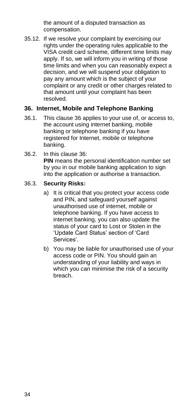the amount of a disputed transaction as compensation.

35.12. If we resolve your complaint by exercising our rights under the operating rules applicable to the VISA credit card scheme, different time limits may apply. If so, we will inform you in writing of those time limits and when you can reasonably expect a decision, and we will suspend your obligation to pay any amount which is the subject of your complaint or any credit or other charges related to that amount until your complaint has been resolved.

#### **36. Internet, Mobile and Telephone Banking**

- 36.1. This clause [36](#page-35-0) applies to your use of, or access to, the account using internet banking, mobile banking or telephone banking if you have registered for Internet, mobile or telephone banking.
- 36.2. In this clause [36:](#page-35-0) **PIN** means the personal identification number set by you in our mobile banking application to sign into the application or authorise a transaction.

#### 36.3. **Security Risks:**

- a) It is critical that you protect your access code and PIN, and safeguard yourself against unauthorised use of internet, mobile or telephone banking. If you have access to internet banking, you can also update the status of your card to Lost or Stolen in the 'Update Card Status' section of 'Card Services'.
- b) You may be liable for unauthorised use of your access code or PIN. You should gain an understanding of your liability and ways in which you can minimise the risk of a security breach.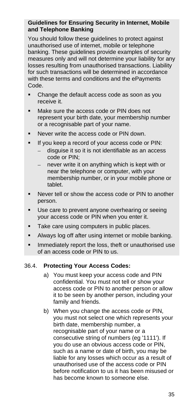#### **Guidelines for Ensuring Security in Internet, Mobile and Telephone Banking**

You should follow these guidelines to protect against unauthorised use of internet, mobile or telephone banking. These guidelines provide examples of security measures only and will not determine your liability for any losses resulting from unauthorised transactions. Liability for such transactions will be determined in accordance with these terms and conditions and the ePayments Code.

- Change the default access code as soon as you receive it.
- <span id="page-35-0"></span>■ Make sure the access code or PIN does not represent your birth date, your membership number or a recognisable part of your name.
- Never write the access code or PIN down.
- If you keep a record of your access code or PIN:
	- − disguise it so it is not identifiable as an access code or PIN;
	- never write it on anything which is kept with or near the telephone or computer, with your membership number, or in your mobile phone or tablet.
- Never tell or show the access code or PIN to another person.
- Use care to prevent anyone overhearing or seeing your access code or PIN when you enter it.
- Take care using computers in public places.
- **EXEDENT Always log off after using internet or mobile banking.**
- **.** Immediately report the loss, theft or unauthorised use of an access code or PIN to us.

#### 36.4. **Protecting Your Access Codes:**

- a) You must keep your access code and PIN confidential. You must not tell or show your access code or PIN to another person or allow it to be seen by another person, including your family and friends.
- b) When you change the access code or PIN, you must not select one which represents your birth date, membership number, a recognisable part of your name or a consecutive string of numbers (eg '1111'). If you do use an obvious access code or PIN, such as a name or date of birth, you may be liable for any losses which occur as a result of unauthorised use of the access code or PIN before notification to us it has been misused or has become known to someone else.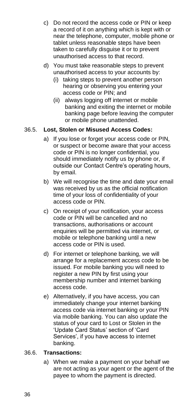- c) Do not record the access code or PIN or keep a record of it on anything which is kept with or near the telephone, computer, mobile phone or tablet unless reasonable steps have been taken to carefully disguise it or to prevent unauthorised access to that record.
- d) You must take reasonable steps to prevent unauthorised access to your accounts by:
	- (i) taking steps to prevent another person hearing or observing you entering your access code or PIN; and
	- (ii) always logging off internet or mobile banking and exiting the internet or mobile banking page before leaving the computer or mobile phone unattended.

#### 36.5. **Lost, Stolen or Misused Access Codes:**

- a) If you lose or forget your access code or PIN, or suspect or become aware that your access code or PIN is no longer confidential, you should immediately notify us by phone or, if outside our Contact Centre's operating hours, by email.
- b) We will recognise the time and date your email was received by us as the official notification time of your loss of confidentiality of your access code or PIN.
- c) On receipt of your notification, your access code or PIN will be cancelled and no transactions, authorisations or account enquiries will be permitted via internet, or mobile or telephone banking until a new access code or PIN is used.
- d) For internet or telephone banking, we will arrange for a replacement access code to be issued. For mobile banking you will need to register a new PIN by first using your membership number and internet banking access code.
- e) Alternatively, if you have access, you can immediately change your internet banking access code via internet banking or your PIN via mobile banking. You can also update the status of your card to Lost or Stolen in the 'Update Card Status' section of 'Card Services', if you have access to internet banking.

#### 36.6. **Transactions:**

a) When we make a payment on your behalf we are not acting as your agent or the agent of the payee to whom the payment is directed.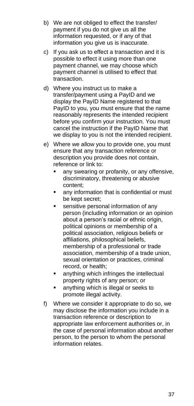- b) We are not obliged to effect the transfer/ payment if you do not give us all the information requested, or if any of that information you give us is inaccurate.
- c) If you ask us to effect a transaction and it is possible to effect it using more than one payment channel, we may choose which payment channel is utilised to effect that transaction.
- d) Where you instruct us to make a transfer/payment using a PayID and we display the PayID Name registered to that PayID to you, you must ensure that the name reasonably represents the intended recipient before you confirm your instruction. You must cancel the instruction if the PayID Name that we display to you is not the intended recipient.
- e) Where we allow you to provide one, you must ensure that any transaction reference or description you provide does not contain, reference or link to:
	- any swearing or profanity, or any offensive, discriminatory, threatening or abusive content;
	- any information that is confidential or must be kept secret;
	- **E** sensitive personal information of any person (including information or an opinion about a person's racial or ethnic origin, political opinions or membership of a political association, religious beliefs or affiliations, philosophical beliefs, membership of a professional or trade association, membership of a trade union, sexual orientation or practices, criminal record, or health;
	- anything which infringes the intellectual property rights of any person; or
	- anything which is illegal or seeks to promote illegal activity.
- f) Where we consider it appropriate to do so, we may disclose the information you include in a transaction reference or description to appropriate law enforcement authorities or, in the case of personal information about another person, to the person to whom the personal information relates.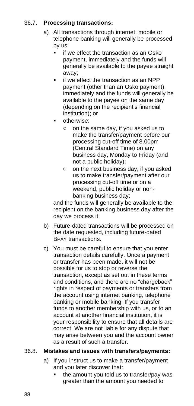#### 36.7. **Processing transactions:**

- a) All transactions through internet, mobile or telephone banking will generally be processed by us:
	- if we effect the transaction as an Osko payment, immediately and the funds will generally be available to the payee straight away;
	- if we effect the transaction as an NPP payment (other than an Osko payment), immediately and the funds will generally be available to the payee on the same day (depending on the recipient's financial institution); or
	- ntherwise:
		- o on the same day, if you asked us to make the transfer/payment before our processing cut-off time of 8.00pm (Central Standard Time) on any business day, Monday to Friday (and not a public holiday);
		- o on the next business day, if you asked us to make transfer/payment after our processing cut-off time or on a weekend, public holiday or nonbanking business day;

and the funds will generally be available to the recipient on the banking business day after the day we process it.

- b) Future-dated transactions will be processed on the date requested, including future-dated BPAY transactions.
- c) You must be careful to ensure that you enter transaction details carefully. Once a payment or transfer has been made, it will not be possible for us to stop or reverse the transaction, except as set out in these terms and conditions, and there are no "chargeback" rights in respect of payments or transfers from the account using internet banking, telephone banking or mobile banking. If you transfer funds to another membership with us, or to an account at another financial institution, it is your responsibility to ensure that all details are correct. We are not liable for any dispute that may arise between you and the account owner as a result of such a transfer.

#### 36.8. **Mistakes and issues with transfers/payments:**

- a) If you instruct us to make a transfer/payment and you later discover that:
	- the amount you told us to transfer/pay was greater than the amount you needed to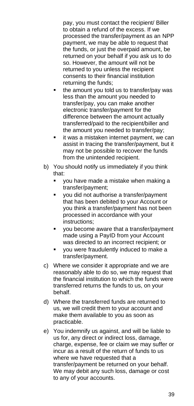pay, you must contact the recipient/ Biller to obtain a refund of the excess. If we processed the transfer/payment as an NPP payment, we may be able to request that the funds, or just the overpaid amount, be returned on your behalf if you ask us to do so. However, the amount will not be returned to you unless the recipient consents to their financial institution returning the funds;

- the amount you told us to transfer/pay was less than the amount you needed to transfer/pay, you can make another electronic transfer/payment for the difference between the amount actually transferred/paid to the recipient/biller and the amount you needed to transfer/pay;
- it was a mistaken internet payment, we can assist in tracing the transfer/payment, but it may not be possible to recover the funds from the unintended recipient.
- b) You should notify us immediately if you think that:
	- you have made a mistake when making a transfer/payment;
	- you did not authorise a transfer/payment that has been debited to your Account or you think a transfer/payment has not been processed in accordance with your instructions;
	- you become aware that a transfer/payment made using a PayID from your Account was directed to an incorrect recipient; or
	- you were fraudulently induced to make a transfer/payment.
- c) Where we consider it appropriate and we are reasonably able to do so, we may request that the financial institution to which the funds were transferred returns the funds to us, on your behalf.
- d) Where the transferred funds are returned to us, we will credit them to your account and make them available to you as soon as practicable.
- e) You indemnify us against, and will be liable to us for, any direct or indirect loss, damage, charge, expense, fee or claim we may suffer or incur as a result of the return of funds to us where we have requested that a transfer/payment be returned on your behalf. We may debit any such loss, damage or cost to any of your accounts.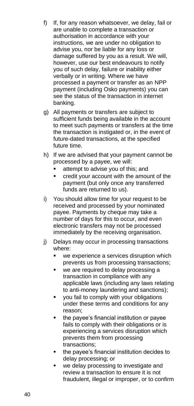- f) If, for any reason whatsoever, we delay, fail or are unable to complete a transaction or authorisation in accordance with your instructions, we are under no obligation to advise you, nor be liable for any loss or damage suffered by you as a result. We will, however, use our best endeavours to notify you of such delay, failure or inability either verbally or in writing. Where we have processed a payment or transfer as an NPP payment (including Osko payments) you can see the status of the transaction in internet banking.
- g) All payments or transfers are subject to sufficient funds being available in the account to meet such payments or transfers at the time the transaction is instigated or, in the event of future-dated transactions, at the specified future time.
- h) If we are advised that your payment cannot be processed by a payee, we will:
	- attempt to advise you of this; and
	- credit your account with the amount of the payment (but only once any transferred funds are returned to us).
- i) You should allow time for your request to be received and processed by your nominated payee. Payments by cheque may take a number of days for this to occur, and even electronic transfers may not be processed immediately by the receiving organisation.
- j) Delays may occur in processing transactions where:
	- we experience a services disruption which prevents us from processing transactions;
	- we are required to delay processing a transaction in compliance with any applicable laws (including any laws relating to anti-money laundering and sanctions);
	- you fail to comply with your obligations under these terms and conditions for any reason;
	- the payee's financial institution or payee fails to comply with their obligations or is experiencing a services disruption which prevents them from processing transactions;
	- the payee's financial institution decides to delay processing; or
	- we delay processing to investigate and review a transaction to ensure it is not fraudulent, illegal or improper, or to confirm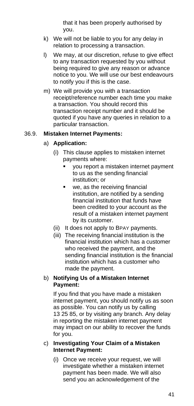that it has been properly authorised by you.

- k) We will not be liable to you for any delay in relation to processing a transaction.
- l) We may, at our discretion, refuse to give effect to any transaction requested by you without being required to give any reason or advance notice to you. We will use our best endeavours to notify you if this is the case.
- m) We will provide you with a transaction receipt/reference number each time you make a transaction. You should record this transaction receipt number and it should be quoted if you have any queries in relation to a particular transaction.

#### 36.9. **Mistaken Internet Payments:**

#### a) **Application:**

- (i) This clause applies to mistaken internet payments where:
	- vou report a mistaken internet payment to us as the sending financial institution; or
	- we, as the receiving financial institution, are notified by a sending financial institution that funds have been credited to your account as the result of a mistaken internet payment by its customer.
- (ii) It does not apply to BPAY payments.
- (iii) The receiving financial institution is the financial institution which has a customer who received the payment, and the sending financial institution is the financial institution which has a customer who made the payment.

#### b) **Notifying Us of a Mistaken Internet Payment:**

If you find that you have made a mistaken internet payment, you should notify us as soon as possible. You can notify us by calling 13 25 85, or by visiting any branch. Any delay in reporting the mistaken internet payment may impact on our ability to recover the funds for you.

#### c) **Investigating Your Claim of a Mistaken Internet Payment:**

(i) Once we receive your request, we will investigate whether a mistaken internet payment has been made. We will also send you an acknowledgement of the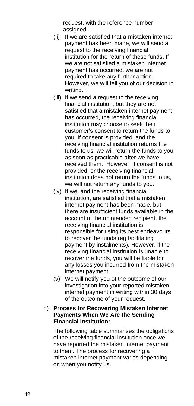request, with the reference number assigned.

- (ii) If we are satisfied that a mistaken internet payment has been made, we will send a request to the receiving financial institution for the return of these funds. If we are not satisfied a mistaken internet payment has occurred, we are not required to take any further action. However, we will tell you of our decision in writing.
- (iii) If we send a request to the receiving financial institution, but they are not satisfied that a mistaken internet payment has occurred, the receiving financial institution may choose to seek their customer's consent to return the funds to you. If consent is provided, and the receiving financial institution returns the funds to us, we will return the funds to you as soon as practicable after we have received them. However, if consent is not provided, or the receiving financial institution does not return the funds to us, we will not return any funds to you.
- (iv) If we, and the receiving financial institution, are satisfied that a mistaken internet payment has been made, but there are insufficient funds available in the account of the unintended recipient, the receiving financial institution is responsible for using its best endeavours to recover the funds (eg facilitating payment by instalments). However, if the receiving financial institution is unable to recover the funds, you will be liable for any losses you incurred from the mistaken internet payment.
- (v) We will notify you of the outcome of our investigation into your reported mistaken internet payment in writing within 30 days of the outcome of your request.
- d) **Process for Recovering Mistaken Internet Payments When We Are the Sending Financial Institution:**

The following table summarises the obligations of the receiving financial institution once we have reported the mistaken internet payment to them. The process for recovering a mistaken internet payment varies depending on when you notify us.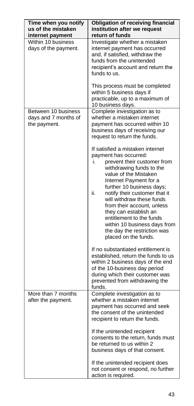| Time when you notify<br>us of the mistaken<br>internet payment | <b>Obligation of receiving financial</b><br>institution after we request<br>return of funds                                                                                                                                                                                                                                                                                                                                                               |
|----------------------------------------------------------------|-----------------------------------------------------------------------------------------------------------------------------------------------------------------------------------------------------------------------------------------------------------------------------------------------------------------------------------------------------------------------------------------------------------------------------------------------------------|
| Within 10 business<br>days of the payment.                     | Investigate whether a mistaken<br>internet payment has occurred<br>and, if satisfied, withdraw the<br>funds from the unintended<br>recipient's account and return the<br>funds to us.                                                                                                                                                                                                                                                                     |
|                                                                | This process must be completed<br>within 5 business days if<br>practicable, up to a maximum of<br>10 business days.                                                                                                                                                                                                                                                                                                                                       |
| Between 10 business<br>days and 7 months of<br>the payment.    | Complete investigation as to<br>whether a mistaken internet<br>payment has occurred within 10<br>business days of receiving our<br>request to return the funds.                                                                                                                                                                                                                                                                                           |
|                                                                | If satisfied a mistaken internet<br>payment has occurred:<br>prevent their customer from<br>i.<br>withdrawing funds to the<br>value of the Mistaken<br>Internet Payment for a<br>further 10 business days:<br>ii.<br>notify their customer that it<br>will withdraw these funds<br>from their account, unless<br>they can establish an<br>entitlement to the funds<br>within 10 business days from<br>the day the restriction was<br>placed on the funds. |
|                                                                | If no substantiated entitlement is<br>established, return the funds to us<br>within 2 business days of the end<br>of the 10-business day period<br>during which their customer was<br>prevented from withdrawing the<br>funds.                                                                                                                                                                                                                            |
| More than 7 months<br>after the payment.                       | Complete investigation as to<br>whether a mistaken internet<br>payment has occurred and seek<br>the consent of the unintended<br>recipient to return the funds.                                                                                                                                                                                                                                                                                           |
|                                                                | If the unintended recipient<br>consents to the return, funds must<br>be returned to us within 2<br>business days of that consent.                                                                                                                                                                                                                                                                                                                         |
|                                                                | If the unintended recipient does<br>not consent or respond, no further<br>action is required.                                                                                                                                                                                                                                                                                                                                                             |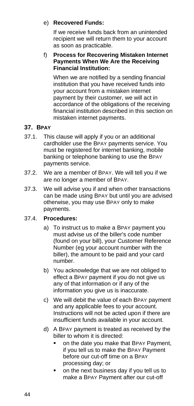#### e) **Recovered Funds:**

If we receive funds back from an unintended recipient we will return them to your account as soon as practicable.

#### f) **Process for Recovering Mistaken Internet Payments When We Are the Receiving Financial Institution:**

When we are notified by a sending financial institution that you have received funds into your account from a mistaken internet payment by their customer, we will act in accordance of the obligations of the receiving financial institution described in this section on mistaken internet payments.

#### **37. BPAY**

- 37.1. This clause will apply if you or an additional cardholder use the BPAY payments service. You must be registered for internet banking, mobile banking or telephone banking to use the BPAY payments service.
- 37.2. We are a member of BPAY. We will tell you if we are no longer a member of BPAY.
- 37.3. We will advise you if and when other transactions can be made using BPAY but until you are advised otherwise, you may use BPAY only to make payments.

#### 37.4. **Procedures:**

- a) To instruct us to make a BPAY payment you must advise us of the biller's code number (found on your bill), your Customer Reference Number (eg your account number with the biller), the amount to be paid and your card number.
- b) You acknowledge that we are not obliged to effect a BPAY payment if you do not give us any of that information or if any of the information you give us is inaccurate.
- c) We will debit the value of each BPAY payment and any applicable fees to your account. Instructions will not be acted upon if there are insufficient funds available in your account.
- d) A BPAY payment is treated as received by the biller to whom it is directed:
	- on the date you make that BPAY Payment, if you tell us to make the BPAY Payment before our cut-off time on a BPAY processing day; or
	- on the next business day if you tell us to make a BPAY Payment after our cut-off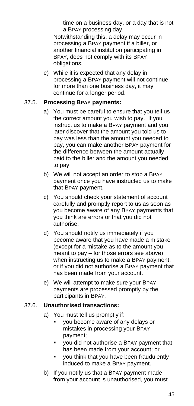time on a business day, or a day that is not a BPAY processing day.

Notwithstanding this, a delay may occur in processing a BPAY payment if a biller, or another financial institution participating in BPAY, does not comply with its BPAY obligations.

e) While it is expected that any delay in processing a BPAY payment will not continue for more than one business day, it may continue for a longer period.

#### <span id="page-45-0"></span>37.5. **Processing BPAY payments:**

- a) You must be careful to ensure that you tell us the correct amount you wish to pay. If you instruct us to make a BPAY payment and you later discover that the amount you told us to pay was less than the amount you needed to pay, you can make another BPAY payment for the difference between the amount actually paid to the biller and the amount you needed to pay.
- b) We will not accept an order to stop a BPAY payment once you have instructed us to make that BPAY payment.
- c) You should check your statement of account carefully and promptly report to us as soon as you become aware of any BPAY payments that you think are errors or that you did not authorise.
- d) You should notify us immediately if you become aware that you have made a mistake (except for a mistake as to the amount you meant to pay – for those errors see above) when instructing us to make a BPAY payment, or if you did not authorise a BPAY payment that has been made from your account.
- e) We will attempt to make sure your BPAY payments are processed promptly by the participants in BPAY.

#### 37.6. **Unauthorised transactions:**

- a) You must tell us promptly if:
	- you become aware of any delays or mistakes in processing your BPAY payment;
	- you did not authorise a BPAY payment that has been made from your account; or
	- you think that you have been fraudulently induced to make a BPAY payment.
- b) If you notify us that a BPAY payment made from your account is unauthorised, you must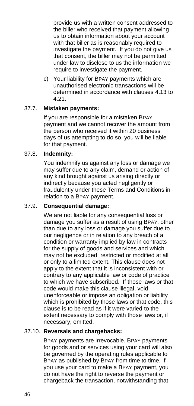provide us with a written consent addressed to the biller who received that payment allowing us to obtain information about your account with that biller as is reasonably required to investigate the payment. If you do not give us that consent, the biller may not be permitted under law to disclose to us the information we require to investigate the payment.

c) Your liability for BPAY payments which are unauthorised electronic transactions will be determined in accordance with clauses [4.13](#page-12-0) to [4.21.](#page-14-1)

#### 37.7. **Mistaken payments:**

If you are responsible for a mistaken BPAY payment and we cannot recover the amount from the person who received it within 20 business days of us attempting to do so, you will be liable for that payment.

#### 37.8. **Indemnity:**

You indemnify us against any loss or damage we may suffer due to any claim, demand or action of any kind brought against us arising directly or indirectly because you acted negligently or fraudulently under these Terms and Conditions in relation to a BPAY payment.

#### 37.9. **Consequential damage:**

We are not liable for any consequential loss or damage you suffer as a result of using BPAY, other than due to any loss or damage you suffer due to our negligence or in relation to any breach of a condition or warranty implied by law in contracts for the supply of goods and services and which may not be excluded, restricted or modified at all or only to a limited extent. This clause does not apply to the extent that it is inconsistent with or contrary to any applicable law or code of practice to which we have subscribed. If those laws or that code would make this clause illegal, void, unenforceable or impose an obligation or liability which is prohibited by those laws or that code, this clause is to be read as if it were varied to the extent necessary to comply with those laws or, if necessary, omitted.

#### 37.10. **Reversals and chargebacks:**

BPAY payments are irrevocable. BPAY payments for goods and or services using your card will also be governed by the operating rules applicable to BPAY as published by BPAY from time to time. If you use your card to make a BPAY payment, you do not have the right to reverse the payment or chargeback the transaction, notwithstanding that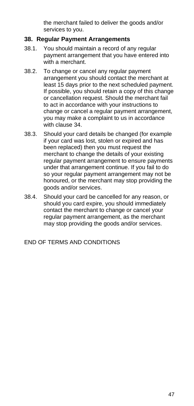the merchant failed to deliver the goods and/or services to you.

#### **38. Regular Payment Arrangements**

- 38.1. You should maintain a record of any regular payment arrangement that you have entered into with a merchant.
- 38.2. To change or cancel any regular payment arrangement you should contact the merchant at least 15 days prior to the next scheduled payment. If possible, you should retain a copy of this change or cancellation request. Should the merchant fail to act in accordance with your instructions to change or cancel a regular payment arrangement, you may make a complaint to us in accordance with clause [34.](#page-31-2)
- 38.3. Should your card details be changed (for example if your card was lost, stolen or expired and has been replaced) then you must request the merchant to change the details of your existing regular payment arrangement to ensure payments under that arrangement continue. If you fail to do so your regular payment arrangement may not be honoured, or the merchant may stop providing the goods and/or services.
- 38.4. Should your card be cancelled for any reason, or should you card expire, you should immediately contact the merchant to change or cancel your regular payment arrangement, as the merchant may stop providing the goods and/or services.

END OF TERMS AND CONDITIONS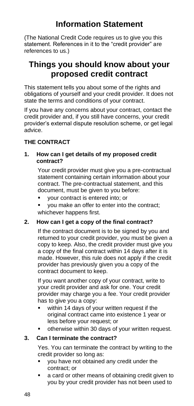## **Information Statement**

<span id="page-48-0"></span>(The National Credit Code requires us to give you this statement. References in it to the "credit provider" are references to us.)

### **Things you should know about your proposed credit contract**

This statement tells you about some of the rights and obligations of yourself and your credit provider. It does not state the terms and conditions of your contract.

If you have any concerns about your contract, contact the credit provider and, if you still have concerns, your credit provider's external dispute resolution scheme, or get legal advice.

#### **THE CONTRACT**

#### **1. How can I get details of my proposed credit contract?**

Your credit provider must give you a pre-contractual statement containing certain information about your contract. The pre-contractual statement, and this document, must be given to you before:

- your contract is entered into: or
- you make an offer to enter into the contract; whichever happens first.

#### **2. How can I get a copy of the final contract?**

If the contract document is to be signed by you and returned to your credit provider, you must be given a copy to keep. Also, the credit provider must give you a copy of the final contract within 14 days after it is made. However, this rule does not apply if the credit provider has previously given you a copy of the contract document to keep.

If you want another copy of your contract, write to your credit provider and ask for one. Your credit provider may charge you a fee. Your credit provider has to give you a copy:

- within 14 days of your written request if the original contract came into existence 1 year or less before your request; or
- otherwise within 30 days of your written request.

#### **3. Can I terminate the contract?**

Yes. You can terminate the contract by writing to the credit provider so long as:

- you have not obtained any credit under the contract; or
- a card or other means of obtaining credit given to you by your credit provider has not been used to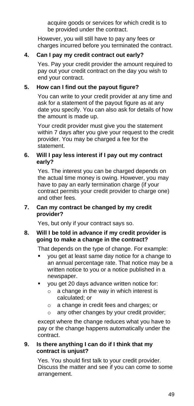acquire goods or services for which credit is to be provided under the contract.

<span id="page-49-0"></span>However, you will still have to pay any fees or charges incurred before you terminated the contract.

#### **4. Can I pay my credit contract out early?**

Yes. Pay your credit provider the amount required to pay out your credit contract on the day you wish to end your contract.

#### **5. How can I find out the payout figure?**

You can write to your credit provider at any time and ask for a statement of the payout figure as at any date you specify. You can also ask for details of how the amount is made up.

Your credit provider must give you the statement within 7 days after you give your request to the credit provider. You may be charged a fee for the statement.

#### **6. Will I pay less interest if I pay out my contract early?**

Yes. The interest you can be charged depends on the actual time money is owing. However, you may have to pay an early termination charge (if your contract permits your credit provider to charge one) and other fees.

#### **7. Can my contract be changed by my credit provider?**

Yes, but only if your contract says so.

#### **8. Will I be told in advance if my credit provider is going to make a change in the contract?**

That depends on the type of change. For example:

- you get at least same day notice for a change to an annual percentage rate. That notice may be a written notice to you or a notice published in a newspaper.
- you get 20 days advance written notice for:
	- $\circ$  a change in the way in which interest is calculated; or
	- o a change in credit fees and charges; or
	- any other changes by your credit provider;

except where the change reduces what you have to pay or the change happens automatically under the contract.

#### **9. Is there anything I can do if I think that my contract is unjust?**

Yes. You should first talk to your credit provider. Discuss the matter and see if you can come to some arrangement.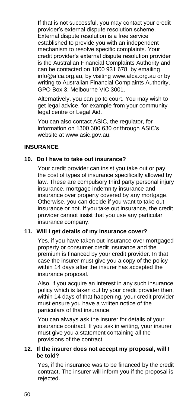If that is not successful, you may contact your credit provider's external dispute resolution scheme. External dispute resolution is a free service established to provide you with an independent mechanism to resolve specific complaints. Your credit provider's external dispute resolution provider is the Australian Financial Complaints Authority and can be contacted on 1800 931 678, by emailing info@afca.org.au, by visiting www.afca.org.au or by writing to Australian Financial Complaints Authority, GPO Box 3, Melbourne VIC 3001.

Alternatively, you can go to court. You may wish to get legal advice, for example from your community legal centre or Legal Aid.

You can also contact ASIC, the regulator, for information on 1300 300 630 or through ASIC's website at www.asic.gov.au.

#### **INSURANCE**

#### **10. Do I have to take out insurance?**

Your credit provider can insist you take out or pay the cost of types of insurance specifically allowed by law. These are compulsory third party personal injury insurance, mortgage indemnity insurance and insurance over property covered by any mortgage. Otherwise, you can decide if you want to take out insurance or not. If you take out insurance, the credit provider cannot insist that you use any particular insurance company.

#### **11. Will I get details of my insurance cover?**

Yes, if you have taken out insurance over mortgaged property or consumer credit insurance and the premium is financed by your credit provider. In that case the insurer must give you a copy of the policy within 14 days after the insurer has accepted the insurance proposal.

Also, if you acquire an interest in any such insurance policy which is taken out by your credit provider then, within 14 days of that happening, your credit provider must ensure you have a written notice of the particulars of that insurance.

You can always ask the insurer for details of your insurance contract. If you ask in writing, your insurer must give you a statement containing all the provisions of the contract.

#### **12. If the insurer does not accept my proposal, will I be told?**

Yes, if the insurance was to be financed by the credit contract. The insurer will inform you if the proposal is rejected.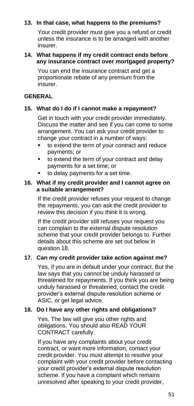#### **13. In that case, what happens to the premiums?**

Your credit provider must give you a refund or credit unless the insurance is to be arranged with another insurer.

#### **14. What happens if my credit contract ends before any insurance contract over mortgaged property?**

You can end the insurance contract and get a proportionate rebate of any premium from the insurer.

#### **GENERAL**

#### **15. What do I do if I cannot make a repayment?**

Get in touch with your credit provider immediately. Discuss the matter and see if you can come to some arrangement. You can ask your credit provider to change your contract in a number of ways:

- to extend the term of your contract and reduce payments; or
- to extend the term of your contract and delay payments for a set time; or
- to delay payments for a set time.

#### **16. What if my credit provider and I cannot agree on a suitable arrangement?**

If the credit provider refuses your request to change the repayments, you can ask the credit provider to review this decision if you think it is wrong.

If the credit provider still refuses your request you can complain to the external dispute resolution scheme that your credit provider belongs to. Further details about this scheme are set out below in question 18.

#### **17. Can my credit provider take action against me?**

Yes, if you are in default under your contract. But the law says that you cannot be unduly harassed or threatened for repayments. If you think you are being unduly harassed or threatened, contact the credit provider's external dispute resolution scheme or ASIC, or get legal advice.

#### **18. Do I have any other rights and obligations?**

Yes. The law will give you other rights and obligations. You should also READ YOUR CONTRACT carefully.

If you have any complaints about your credit contract, or want more information, contact your credit provider. You must attempt to resolve your complaint with your credit provider before contacting your credit provider's external dispute resolution scheme. If you have a complaint which remains unresolved after speaking to your credit provider,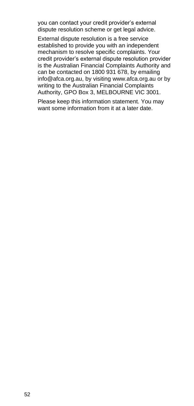you can contact your credit provider's external dispute resolution scheme or get legal advice.

External dispute resolution is a free service established to provide you with an independent mechanism to resolve specific complaints. Your credit provider's external dispute resolution provider is the Australian Financial Complaints Authority and can be contacted on 1800 931 678, by emailing info@afca.org.au, by visiting www.afca.org.au or by writing to the Australian Financial Complaints Authority, GPO Box 3, MELBOURNE VIC 3001.

Please keep this information statement. You may want some information from it at a later date.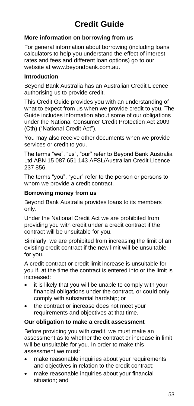## **Credit Guide**

#### **More information on borrowing from us**

For general information about borrowing (including loans calculators to help you understand the effect of interest rates and fees and different loan options) go to our website at www.beyondbank.com.au.

#### **Introduction**

Beyond Bank Australia has an Australian Credit Licence authorising us to provide credit.

This Credit Guide provides you with an understanding of what to expect from us when we provide credit to you. The Guide includes information about some of our obligations under the National Consumer Credit Protection Act 2009 (Cth) ("National Credit Act").

You may also receive other documents when we provide services or credit to you.

The terms "we", "us", "our" refer to Beyond Bank Australia Ltd ABN 15 087 651 143 AFSL/Australian Credit Licence 237 856.

The terms "you", "your" refer to the person or persons to whom we provide a credit contract.

#### **Borrowing money from us**

Beyond Bank Australia provides loans to its members only.

Under the National Credit Act we are prohibited from providing you with credit under a credit contract if the contract will be unsuitable for you.

Similarly, we are prohibited from increasing the limit of an existing credit contract if the new limit will be unsuitable for you.

A credit contract or credit limit increase is unsuitable for you if, at the time the contract is entered into or the limit is increased:

- it is likely that you will be unable to comply with your financial obligations under the contract, or could only comply with substantial hardship; or
- the contract or increase does not meet your requirements and objectives at that time.

#### **Our obligation to make a credit assessment**

Before providing you with credit, we must make an assessment as to whether the contract or increase in limit will be unsuitable for you. In order to make this assessment we must:

- make reasonable inquiries about your requirements and objectives in relation to the credit contract;
- make reasonable inquiries about your financial situation; and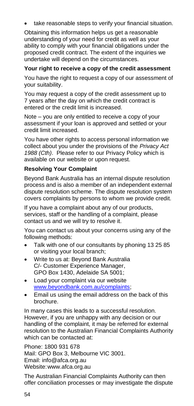<span id="page-54-0"></span>take reasonable steps to verify your financial situation.

Obtaining this information helps us get a reasonable understanding of your need for credit as well as your ability to comply with your financial obligations under the proposed credit contract. The extent of the inquiries we undertake will depend on the circumstances.

#### **Your right to receive a copy of the credit assessment**

You have the right to request a copy of our assessment of your suitability.

You may request a copy of the credit assessment up to 7 years after the day on which the credit contract is entered or the credit limit is increased.

Note – you are only entitled to receive a copy of your assessment if your loan is approved and settled or your credit limit increased.

You have other rights to access personal information we collect about you under the provisions of the *Privacy Act 1988 (Cth)*. Please refer to our Privacy Policy which is available on our website or upon request.

#### **Resolving Your Complaint**

Beyond Bank Australia has an internal dispute resolution process and is also a member of an independent external dispute resolution scheme. The dispute resolution system covers complaints by persons to whom we provide credit.

If you have a complaint about any of our products, services, staff or the handling of a complaint, please contact us and we will try to resolve it.

You can contact us about your concerns using any of the following methods:

- Talk with one of our consultants by phoning 13 25 85 or visiting your local branch;
- Write to us at: Beyond Bank Australia C/- Customer Experience Manager, GPO Box 1430, Adelaide SA 5001;
- Load your complaint via our website [www.beyondbank.com.au/complaints;](http://www.beyondbank.com.au/complaints)
- Email us using the email address on the back of this brochure.

In many cases this leads to a successful resolution. However, if you are unhappy with any decision or our handling of the complaint, it may be referred for external resolution to the Australian Financial Complaints Authority which can be contacted at:

Phone: 1800 931 678 Mail: GPO Box 3, Melbourne VIC 3001. Email: info@afca.org.au Website:www.afca.org.au

The Australian Financial Complaints Authority can then offer conciliation processes or may investigate the dispute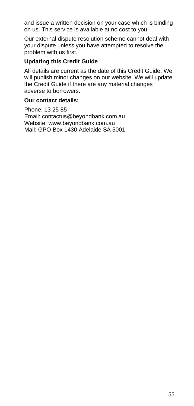and issue a written decision on your case which is binding on us. This service is available at no cost to you.

Our external dispute resolution scheme cannot deal with your dispute unless you have attempted to resolve the problem with us first.

#### **Updating this Credit Guide**

All details are current as the date of this Credit Guide. We will publish minor changes on our website. We will update the Credit Guide if there are any material changes adverse to borrowers.

#### **Our contact details:**

Phone: 13 25 85 Email: contactus@beyondbank.com.au Website: www.beyondbank.com.au Mail: GPO Box 1430 Adelaide SA 5001